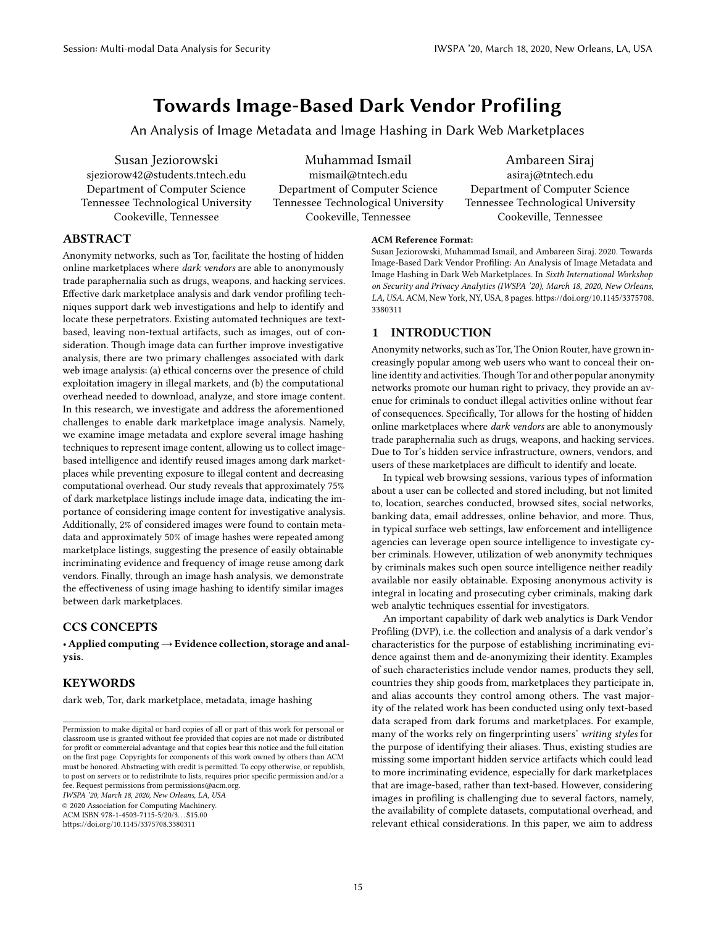# Towards Image-Based Dark Vendor Profiling

An Analysis of Image Metadata and Image Hashing in Dark Web Marketplaces

Susan Jeziorowski sjeziorow42@students.tntech.edu Department of Computer Science Tennessee Technological University Cookeville, Tennessee

Muhammad Ismail mismail@tntech.edu Department of Computer Science Tennessee Technological University Cookeville, Tennessee

Ambareen Siraj asiraj@tntech.edu Department of Computer Science Tennessee Technological University Cookeville, Tennessee

## ABSTRACT

Anonymity networks, such as Tor, facilitate the hosting of hidden online marketplaces where dark vendors are able to anonymously trade paraphernalia such as drugs, weapons, and hacking services. Effective dark marketplace analysis and dark vendor profiling techniques support dark web investigations and help to identify and locate these perpetrators. Existing automated techniques are textbased, leaving non-textual artifacts, such as images, out of consideration. Though image data can further improve investigative analysis, there are two primary challenges associated with dark web image analysis: (a) ethical concerns over the presence of child exploitation imagery in illegal markets, and (b) the computational overhead needed to download, analyze, and store image content. In this research, we investigate and address the aforementioned challenges to enable dark marketplace image analysis. Namely, we examine image metadata and explore several image hashing techniques to represent image content, allowing us to collect imagebased intelligence and identify reused images among dark marketplaces while preventing exposure to illegal content and decreasing computational overhead. Our study reveals that approximately 75% of dark marketplace listings include image data, indicating the importance of considering image content for investigative analysis. Additionally, 2% of considered images were found to contain metadata and approximately 50% of image hashes were repeated among marketplace listings, suggesting the presence of easily obtainable incriminating evidence and frequency of image reuse among dark vendors. Finally, through an image hash analysis, we demonstrate the effectiveness of using image hashing to identify similar images between dark marketplaces.

### CCS CONCEPTS

• Applied computing→Evidence collection, storage and analysis.

## **KEYWORDS**

dark web, Tor, dark marketplace, metadata, image hashing

IWSPA '20, March 18, 2020, New Orleans, LA, USA

© 2020 Association for Computing Machinery.

ACM ISBN 978-1-4503-7115-5/20/3. . . \$15.00

https://doi.org/10.1145/3375708.3380311

#### ACM Reference Format:

Susan Jeziorowski, Muhammad Ismail, and Ambareen Siraj. 2020. Towards Image-Based Dark Vendor Profiling: An Analysis of Image Metadata and Image Hashing in Dark Web Marketplaces. In Sixth International Workshop on Security and Privacy Analytics (IWSPA '20), March 18, 2020, New Orleans, LA, USA. ACM, New York, NY, USA, 8 pages. https://doi.org/10.1145/3375708. 3380311

#### 1 INTRODUCTION

Anonymity networks, such as Tor, The Onion Router, have grown increasingly popular among web users who want to conceal their online identity and activities. Though Tor and other popular anonymity networks promote our human right to privacy, they provide an avenue for criminals to conduct illegal activities online without fear of consequences. Specifically, Tor allows for the hosting of hidden online marketplaces where dark vendors are able to anonymously trade paraphernalia such as drugs, weapons, and hacking services. Due to Tor's hidden service infrastructure, owners, vendors, and users of these marketplaces are difficult to identify and locate.

In typical web browsing sessions, various types of information about a user can be collected and stored including, but not limited to, location, searches conducted, browsed sites, social networks, banking data, email addresses, online behavior, and more. Thus, in typical surface web settings, law enforcement and intelligence agencies can leverage open source intelligence to investigate cyber criminals. However, utilization of web anonymity techniques by criminals makes such open source intelligence neither readily available nor easily obtainable. Exposing anonymous activity is integral in locating and prosecuting cyber criminals, making dark web analytic techniques essential for investigators.

An important capability of dark web analytics is Dark Vendor Profiling (DVP), i.e. the collection and analysis of a dark vendor's characteristics for the purpose of establishing incriminating evidence against them and de-anonymizing their identity. Examples of such characteristics include vendor names, products they sell, countries they ship goods from, marketplaces they participate in, and alias accounts they control among others. The vast majority of the related work has been conducted using only text-based data scraped from dark forums and marketplaces. For example, many of the works rely on fingerprinting users' writing styles for the purpose of identifying their aliases. Thus, existing studies are missing some important hidden service artifacts which could lead to more incriminating evidence, especially for dark marketplaces that are image-based, rather than text-based. However, considering images in profiling is challenging due to several factors, namely, the availability of complete datasets, computational overhead, and relevant ethical considerations. In this paper, we aim to address

Permission to make digital or hard copies of all or part of this work for personal or classroom use is granted without fee provided that copies are not made or distributed for profit or commercial advantage and that copies bear this notice and the full citation on the first page. Copyrights for components of this work owned by others than ACM must be honored. Abstracting with credit is permitted. To copy otherwise, or republish, to post on servers or to redistribute to lists, requires prior specific permission and/or a fee. Request permissions from permissions@acm.org.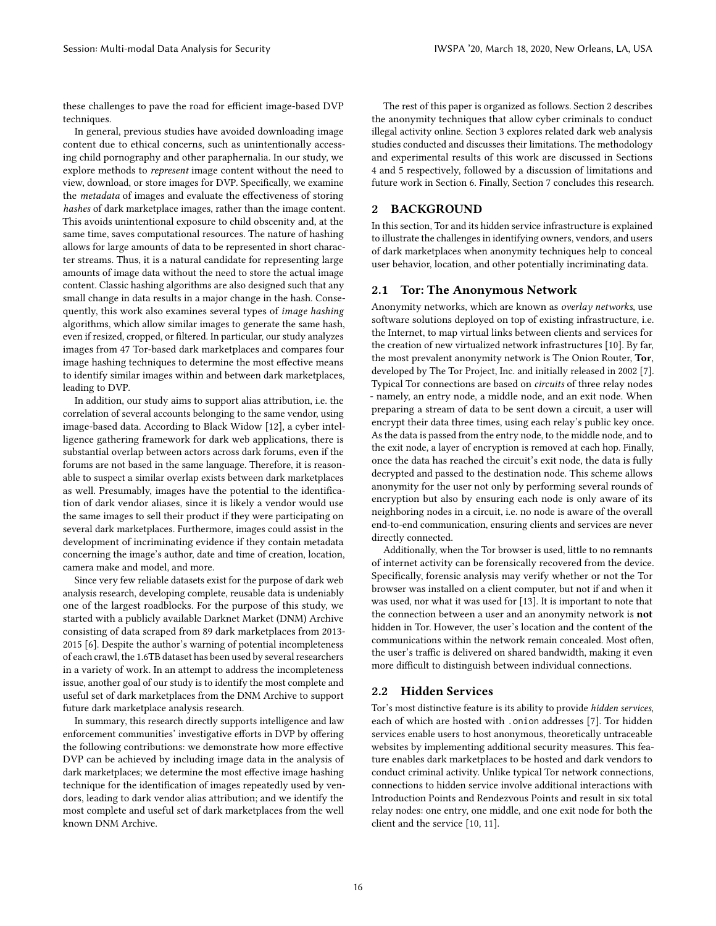these challenges to pave the road for efficient image-based DVP techniques.

In general, previous studies have avoided downloading image content due to ethical concerns, such as unintentionally accessing child pornography and other paraphernalia. In our study, we explore methods to represent image content without the need to view, download, or store images for DVP. Specifically, we examine the metadata of images and evaluate the effectiveness of storing hashes of dark marketplace images, rather than the image content. This avoids unintentional exposure to child obscenity and, at the same time, saves computational resources. The nature of hashing allows for large amounts of data to be represented in short character streams. Thus, it is a natural candidate for representing large amounts of image data without the need to store the actual image content. Classic hashing algorithms are also designed such that any small change in data results in a major change in the hash. Consequently, this work also examines several types of image hashing algorithms, which allow similar images to generate the same hash, even if resized, cropped, or filtered. In particular, our study analyzes images from 47 Tor-based dark marketplaces and compares four image hashing techniques to determine the most effective means to identify similar images within and between dark marketplaces, leading to DVP.

In addition, our study aims to support alias attribution, i.e. the correlation of several accounts belonging to the same vendor, using image-based data. According to Black Widow [12], a cyber intelligence gathering framework for dark web applications, there is substantial overlap between actors across dark forums, even if the forums are not based in the same language. Therefore, it is reasonable to suspect a similar overlap exists between dark marketplaces as well. Presumably, images have the potential to the identification of dark vendor aliases, since it is likely a vendor would use the same images to sell their product if they were participating on several dark marketplaces. Furthermore, images could assist in the development of incriminating evidence if they contain metadata concerning the image's author, date and time of creation, location, camera make and model, and more.

Since very few reliable datasets exist for the purpose of dark web analysis research, developing complete, reusable data is undeniably one of the largest roadblocks. For the purpose of this study, we started with a publicly available Darknet Market (DNM) Archive consisting of data scraped from 89 dark marketplaces from 2013- 2015 [6]. Despite the author's warning of potential incompleteness of each crawl, the 1.6TB dataset has been used by several researchers in a variety of work. In an attempt to address the incompleteness issue, another goal of our study is to identify the most complete and useful set of dark marketplaces from the DNM Archive to support future dark marketplace analysis research.

In summary, this research directly supports intelligence and law enforcement communities' investigative efforts in DVP by offering the following contributions: we demonstrate how more effective DVP can be achieved by including image data in the analysis of dark marketplaces; we determine the most effective image hashing technique for the identification of images repeatedly used by vendors, leading to dark vendor alias attribution; and we identify the most complete and useful set of dark marketplaces from the well known DNM Archive.

The rest of this paper is organized as follows. Section 2 describes the anonymity techniques that allow cyber criminals to conduct illegal activity online. Section 3 explores related dark web analysis studies conducted and discusses their limitations. The methodology and experimental results of this work are discussed in Sections 4 and 5 respectively, followed by a discussion of limitations and future work in Section 6. Finally, Section 7 concludes this research.

#### 2 BACKGROUND

In this section, Tor and its hidden service infrastructure is explained to illustrate the challenges in identifying owners, vendors, and users of dark marketplaces when anonymity techniques help to conceal user behavior, location, and other potentially incriminating data.

#### 2.1 Tor: The Anonymous Network

Anonymity networks, which are known as overlay networks, use software solutions deployed on top of existing infrastructure, i.e. the Internet, to map virtual links between clients and services for the creation of new virtualized network infrastructures [10]. By far, the most prevalent anonymity network is The Onion Router, Tor, developed by The Tor Project, Inc. and initially released in 2002 [7]. Typical Tor connections are based on circuits of three relay nodes - namely, an entry node, a middle node, and an exit node. When preparing a stream of data to be sent down a circuit, a user will encrypt their data three times, using each relay's public key once. As the data is passed from the entry node, to the middle node, and to the exit node, a layer of encryption is removed at each hop. Finally, once the data has reached the circuit's exit node, the data is fully decrypted and passed to the destination node. This scheme allows anonymity for the user not only by performing several rounds of encryption but also by ensuring each node is only aware of its neighboring nodes in a circuit, i.e. no node is aware of the overall end-to-end communication, ensuring clients and services are never directly connected.

Additionally, when the Tor browser is used, little to no remnants of internet activity can be forensically recovered from the device. Specifically, forensic analysis may verify whether or not the Tor browser was installed on a client computer, but not if and when it was used, nor what it was used for [13]. It is important to note that the connection between a user and an anonymity network is **not** hidden in Tor. However, the user's location and the content of the communications within the network remain concealed. Most often, the user's traffic is delivered on shared bandwidth, making it even more difficult to distinguish between individual connections.

## 2.2 Hidden Services

Tor's most distinctive feature is its ability to provide hidden services, each of which are hosted with .onion addresses [7]. Tor hidden services enable users to host anonymous, theoretically untraceable websites by implementing additional security measures. This feature enables dark marketplaces to be hosted and dark vendors to conduct criminal activity. Unlike typical Tor network connections, connections to hidden service involve additional interactions with Introduction Points and Rendezvous Points and result in six total relay nodes: one entry, one middle, and one exit node for both the client and the service [10, 11].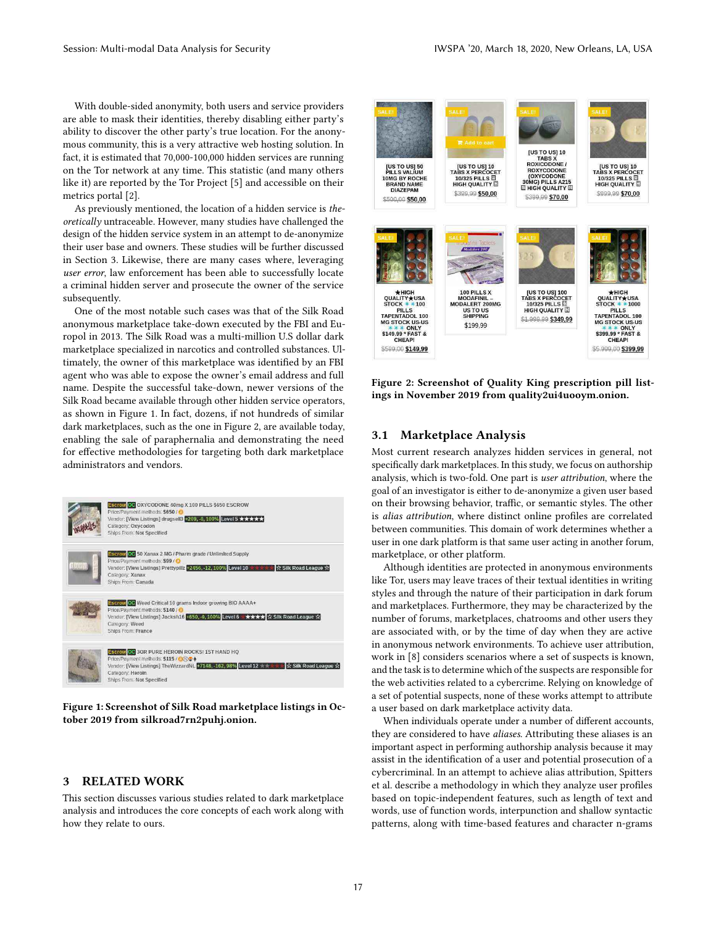With double-sided anonymity, both users and service providers are able to mask their identities, thereby disabling either party's ability to discover the other party's true location. For the anonymous community, this is a very attractive web hosting solution. In fact, it is estimated that 70,000-100,000 hidden services are running on the Tor network at any time. This statistic (and many others like it) are reported by the Tor Project [5] and accessible on their metrics portal [2].

As previously mentioned, the location of a hidden service is theoretically untraceable. However, many studies have challenged the design of the hidden service system in an attempt to de-anonymize their user base and owners. These studies will be further discussed in Section 3. Likewise, there are many cases where, leveraging user error, law enforcement has been able to successfully locate a criminal hidden server and prosecute the owner of the service subsequently.

One of the most notable such cases was that of the Silk Road anonymous marketplace take-down executed by the FBI and Europol in 2013. The Silk Road was a multi-million U.S dollar dark marketplace specialized in narcotics and controlled substances. Ultimately, the owner of this marketplace was identified by an FBI agent who was able to expose the owner's email address and full name. Despite the successful take-down, newer versions of the Silk Road became available through other hidden service operators, as shown in Figure 1. In fact, dozens, if not hundreds of similar dark marketplaces, such as the one in Figure 2, are available today, enabling the sale of paraphernalia and demonstrating the need for effective methodologies for targeting both dark marketplace administrators and vendors.

| Escrow OC OXYCODONE 40mg X 100 PILLS \$650 ESCROW<br>Price/Payment methods: \$650 / @<br>Vendor: [View Listings] drugsell3 +209, -0, 100% Level 5 ★ ★ ★ ★ ★<br>Category: Oxycodon<br>Ships From: Not Specified                          |
|-----------------------------------------------------------------------------------------------------------------------------------------------------------------------------------------------------------------------------------------|
| Escrow OC 50 Xanax 2 MG / Pharm grade / Unlimited Supply<br>Price/Payment methods: \$99 / O<br>Vendor: [View Listings] Prettypillz +2456, -12, 100% Level 10<br>☆ Silk Road League ☆<br>Category: Xanax<br>Ships From: Canada           |
| Eserow OC Weed Critical 10 grams Indoor growing BIO AAAA+<br>Price/Payment methods: \$140 / @<br>Vendor: [View Listings] Jacksh16 +650, -0, 100% Level 6 ★ ★ ★ ★ ★ ☆ Silk Road League ☆<br>Category: Weed<br>Ships From: France         |
| <b>Escrow OC 3GR PURE HEROIN ROCKS! 1ST HAND HQ</b><br>Price/Payment methods: \$115 / ○ ② ▲<br>Vendor: [View Listings] TheWizzardNL +7148, -162, 98% Level 12<br>☆ Silk Road League ☆<br>Category: Heroin.<br>Ships From: Not Specified |

Figure 1: Screenshot of Silk Road marketplace listings in October 2019 from silkroad7rn2puhj.onion.

## 3 RELATED WORK

This section discusses various studies related to dark marketplace analysis and introduces the core concepts of each work along with how they relate to ours.



Figure 2: Screenshot of Quality King prescription pill listings in November 2019 from quality2ui4uooym.onion.

## 3.1 Marketplace Analysis

Most current research analyzes hidden services in general, not specifically dark marketplaces. In this study, we focus on authorship analysis, which is two-fold. One part is user attribution, where the goal of an investigator is either to de-anonymize a given user based on their browsing behavior, traffic, or semantic styles. The other is alias attribution, where distinct online profiles are correlated between communities. This domain of work determines whether a user in one dark platform is that same user acting in another forum, marketplace, or other platform.

Although identities are protected in anonymous environments like Tor, users may leave traces of their textual identities in writing styles and through the nature of their participation in dark forum and marketplaces. Furthermore, they may be characterized by the number of forums, marketplaces, chatrooms and other users they are associated with, or by the time of day when they are active in anonymous network environments. To achieve user attribution, work in [8] considers scenarios where a set of suspects is known, and the task is to determine which of the suspects are responsible for the web activities related to a cybercrime. Relying on knowledge of a set of potential suspects, none of these works attempt to attribute a user based on dark marketplace activity data.

When individuals operate under a number of different accounts, they are considered to have *aliases*. Attributing these aliases is an important aspect in performing authorship analysis because it may assist in the identification of a user and potential prosecution of a cybercriminal. In an attempt to achieve alias attribution, Spitters et al. describe a methodology in which they analyze user profiles based on topic-independent features, such as length of text and words, use of function words, interpunction and shallow syntactic patterns, along with time-based features and character n-grams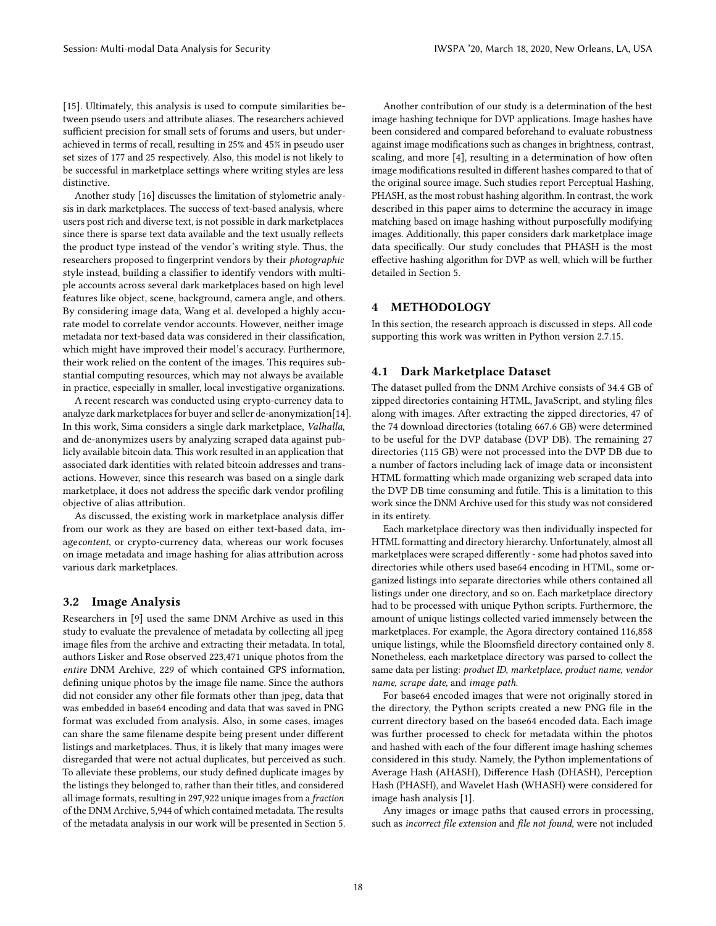[15]. Ultimately, this analysis is used to compute similarities between pseudo users and attribute aliases. The researchers achieved sufficient precision for small sets of forums and users, but underachieved in terms of recall, resulting in 25% and 45% in pseudo user set sizes of 177 and 25 respectively. Also, this model is not likely to be successful in marketplace settings where writing styles are less distinctive.

Another study [16] discusses the limitation of stylometric analysis in dark marketplaces. The success of text-based analysis, where users post rich and diverse text, is not possible in dark marketplaces since there is sparse text data available and the text usually reflects the product type instead of the vendor's writing style. Thus, the researchers proposed to fingerprint vendors by their photographic style instead, building a classifier to identify vendors with multiple accounts across several dark marketplaces based on high level features like object, scene, background, camera angle, and others. By considering image data, Wang et al. developed a highly accurate model to correlate vendor accounts. However, neither image metadata nor text-based data was considered in their classification, which might have improved their model's accuracy. Furthermore, their work relied on the content of the images. This requires substantial computing resources, which may not always be available in practice, especially in smaller, local investigative organizations.

A recent research was conducted using crypto-currency data to analyze dark marketplaces for buyer and seller de-anonymization[14]. In this work, Sima considers a single dark marketplace, Valhalla, and de-anonymizes users by analyzing scraped data against publicly available bitcoin data. This work resulted in an application that associated dark identities with related bitcoin addresses and transactions. However, since this research was based on a single dark marketplace, it does not address the specific dark vendor profiling objective of alias attribution.

As discussed, the existing work in marketplace analysis differ from our work as they are based on either text-based data, imagecontent, or crypto-currency data, whereas our work focuses on image metadata and image hashing for alias attribution across various dark marketplaces.

## 3.2 Image Analysis

Researchers in [9] used the same DNM Archive as used in this study to evaluate the prevalence of metadata by collecting all jpeg image files from the archive and extracting their metadata. In total, authors Lisker and Rose observed 223,471 unique photos from the entire DNM Archive, 229 of which contained GPS information, defining unique photos by the image file name. Since the authors did not consider any other file formats other than jpeg, data that was embedded in base64 encoding and data that was saved in PNG format was excluded from analysis. Also, in some cases, images can share the same filename despite being present under different listings and marketplaces. Thus, it is likely that many images were disregarded that were not actual duplicates, but perceived as such. To alleviate these problems, our study defined duplicate images by the listings they belonged to, rather than their titles, and considered all image formats, resulting in 297,922 unique images from a fraction of the DNM Archive, 5,944 of which contained metadata. The results of the metadata analysis in our work will be presented in Section 5.

Another contribution of our study is a determination of the best image hashing technique for DVP applications. Image hashes have been considered and compared beforehand to evaluate robustness against image modifications such as changes in brightness, contrast, scaling, and more [4], resulting in a determination of how often image modifications resulted in different hashes compared to that of the original source image. Such studies report Perceptual Hashing, PHASH, as the most robust hashing algorithm. In contrast, the work described in this paper aims to determine the accuracy in image matching based on image hashing without purposefully modifying images. Additionally, this paper considers dark marketplace image data specifically. Our study concludes that PHASH is the most effective hashing algorithm for DVP as well, which will be further detailed in Section 5.

## 4 METHODOLOGY

In this section, the research approach is discussed in steps. All code supporting this work was written in Python version 2.7.15.

#### 4.1 Dark Marketplace Dataset

The dataset pulled from the DNM Archive consists of 34.4 GB of zipped directories containing HTML, JavaScript, and styling files along with images. After extracting the zipped directories, 47 of the 74 download directories (totaling 667.6 GB) were determined to be useful for the DVP database (DVP DB). The remaining 27 directories (115 GB) were not processed into the DVP DB due to a number of factors including lack of image data or inconsistent HTML formatting which made organizing web scraped data into the DVP DB time consuming and futile. This is a limitation to this work since the DNM Archive used for this study was not considered in its entirety.

Each marketplace directory was then individually inspected for HTML formatting and directory hierarchy. Unfortunately, almost all marketplaces were scraped differently - some had photos saved into directories while others used base64 encoding in HTML, some organized listings into separate directories while others contained all listings under one directory, and so on. Each marketplace directory had to be processed with unique Python scripts. Furthermore, the amount of unique listings collected varied immensely between the marketplaces. For example, the Agora directory contained 116,858 unique listings, while the Bloomsfield directory contained only 8. Nonetheless, each marketplace directory was parsed to collect the same data per listing: product ID, marketplace, product name, vendor name, scrape date, and image path.

For base64 encoded images that were not originally stored in the directory, the Python scripts created a new PNG file in the current directory based on the base64 encoded data. Each image was further processed to check for metadata within the photos and hashed with each of the four different image hashing schemes considered in this study. Namely, the Python implementations of Average Hash (AHASH), Difference Hash (DHASH), Perception Hash (PHASH), and Wavelet Hash (WHASH) were considered for image hash analysis [1].

Any images or image paths that caused errors in processing, such as incorrect file extension and file not found, were not included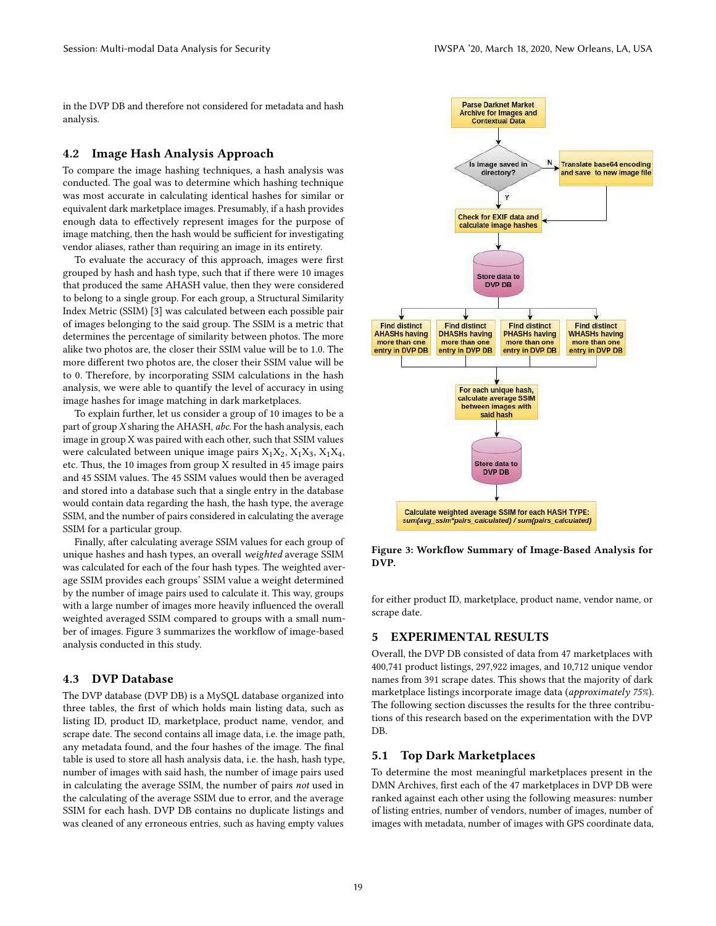in the DVP DB and therefore not considered for metadata and hash analysis.

#### 4.2 Image Hash Analysis Approach

To compare the image hashing techniques, a hash analysis was conducted. The goal was to determine which hashing technique was most accurate in calculating identical hashes for similar or equivalent dark marketplace images. Presumably, if a hash provides enough data to effectively represent images for the purpose of image matching, then the hash would be sufficient for investigating vendor aliases, rather than requiring an image in its entirety.

To evaluate the accuracy of this approach, images were first grouped by hash and hash type, such that if there were 10 images that produced the same AHASH value, then they were considered to belong to a single group. For each group, a Structural Similarity Index Metric (SSIM) [3] was calculated between each possible pair of images belonging to the said group. The SSIM is a metric that determines the percentage of similarity between photos. The more alike two photos are, the closer their SSIM value will be to 1.0. The more different two photos are, the closer their SSIM value will be to 0. Therefore, by incorporating SSIM calculations in the hash analysis, we were able to quantify the level of accuracy in using image hashes for image matching in dark marketplaces.

To explain further, let us consider a group of 10 images to be a part of group X sharing the AHASH, abc. For the hash analysis, each image in group X was paired with each other, such that SSIM values were calculated between unique image pairs  $X_1X_2$ ,  $X_1X_3$ ,  $X_1X_4$ , etc. Thus, the 10 images from group X resulted in 45 image pairs and 45 SSIM values. The 45 SSIM values would then be averaged and stored into a database such that a single entry in the database would contain data regarding the hash, the hash type, the average SSIM, and the number of pairs considered in calculating the average SSIM for a particular group.

Finally, after calculating average SSIM values for each group of unique hashes and hash types, an overall weighted average SSIM was calculated for each of the four hash types. The weighted average SSIM provides each groups' SSIM value a weight determined by the number of image pairs used to calculate it. This way, groups with a large number of images more heavily influenced the overall weighted averaged SSIM compared to groups with a small number of images. Figure 3 summarizes the workflow of image-based analysis conducted in this study.

#### 4.3 DVP Database

The DVP database (DVP DB) is a MySQL database organized into three tables, the first of which holds main listing data, such as listing ID, product ID, marketplace, product name, vendor, and scrape date. The second contains all image data, i.e. the image path, any metadata found, and the four hashes of the image. The final table is used to store all hash analysis data, i.e. the hash, hash type, number of images with said hash, the number of image pairs used in calculating the average SSIM, the number of pairs not used in the calculating of the average SSIM due to error, and the average SSIM for each hash. DVP DB contains no duplicate listings and was cleaned of any erroneous entries, such as having empty values



Figure 3: Workflow Summary of Image-Based Analysis for DVP.

for either product ID, marketplace, product name, vendor name, or scrape date.

## 5 EXPERIMENTAL RESULTS

Overall, the DVP DB consisted of data from 47 marketplaces with 400,741 product listings, 297,922 images, and 10,712 unique vendor names from 391 scrape dates. This shows that the majority of dark marketplace listings incorporate image data (approximately 75%). The following section discusses the results for the three contributions of this research based on the experimentation with the DVP DB.

#### 5.1 Top Dark Marketplaces

To determine the most meaningful marketplaces present in the DMN Archives, first each of the 47 marketplaces in DVP DB were ranked against each other using the following measures: number of listing entries, number of vendors, number of images, number of images with metadata, number of images with GPS coordinate data,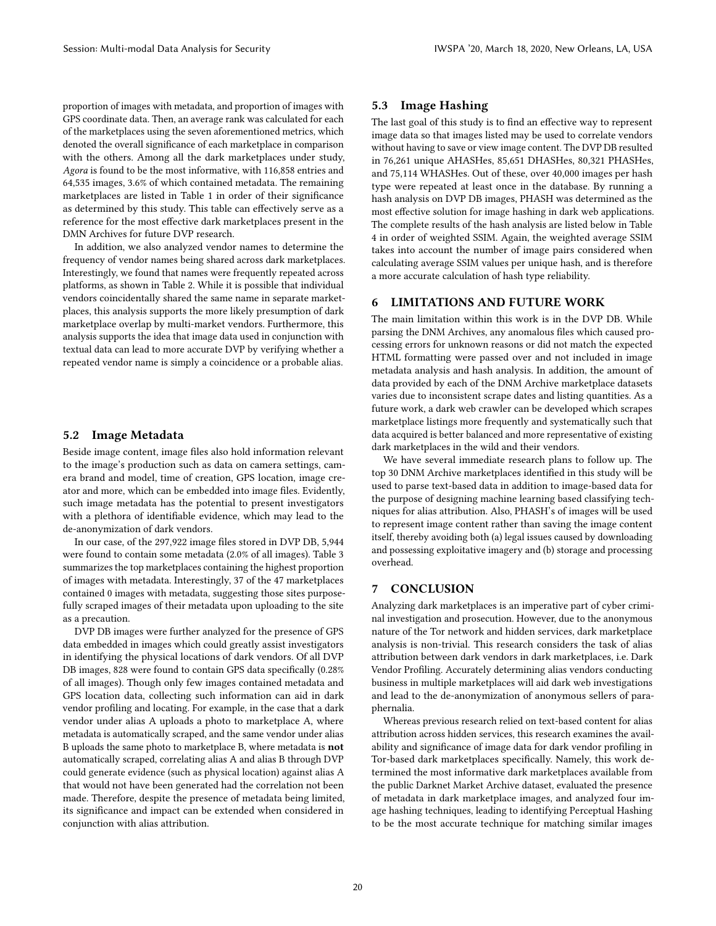proportion of images with metadata, and proportion of images with GPS coordinate data. Then, an average rank was calculated for each of the marketplaces using the seven aforementioned metrics, which denoted the overall significance of each marketplace in comparison with the others. Among all the dark marketplaces under study, Agora is found to be the most informative, with 116,858 entries and 64,535 images, 3.6% of which contained metadata. The remaining marketplaces are listed in Table 1 in order of their significance as determined by this study. This table can effectively serve as a reference for the most effective dark marketplaces present in the DMN Archives for future DVP research.

In addition, we also analyzed vendor names to determine the frequency of vendor names being shared across dark marketplaces. Interestingly, we found that names were frequently repeated across platforms, as shown in Table 2. While it is possible that individual vendors coincidentally shared the same name in separate marketplaces, this analysis supports the more likely presumption of dark marketplace overlap by multi-market vendors. Furthermore, this analysis supports the idea that image data used in conjunction with textual data can lead to more accurate DVP by verifying whether a repeated vendor name is simply a coincidence or a probable alias.

#### 5.2 Image Metadata

Beside image content, image files also hold information relevant to the image's production such as data on camera settings, camera brand and model, time of creation, GPS location, image creator and more, which can be embedded into image files. Evidently, such image metadata has the potential to present investigators with a plethora of identifiable evidence, which may lead to the de-anonymization of dark vendors.

In our case, of the 297,922 image files stored in DVP DB, 5,944 were found to contain some metadata (2.0% of all images). Table 3 summarizes the top marketplaces containing the highest proportion of images with metadata. Interestingly, 37 of the 47 marketplaces contained 0 images with metadata, suggesting those sites purposefully scraped images of their metadata upon uploading to the site as a precaution.

DVP DB images were further analyzed for the presence of GPS data embedded in images which could greatly assist investigators in identifying the physical locations of dark vendors. Of all DVP DB images, 828 were found to contain GPS data specifically (0.28% of all images). Though only few images contained metadata and GPS location data, collecting such information can aid in dark vendor profiling and locating. For example, in the case that a dark vendor under alias A uploads a photo to marketplace A, where metadata is automatically scraped, and the same vendor under alias B uploads the same photo to marketplace B, where metadata is not automatically scraped, correlating alias A and alias B through DVP could generate evidence (such as physical location) against alias A that would not have been generated had the correlation not been made. Therefore, despite the presence of metadata being limited, its significance and impact can be extended when considered in conjunction with alias attribution.

## 5.3 Image Hashing

The last goal of this study is to find an effective way to represent image data so that images listed may be used to correlate vendors without having to save or view image content. The DVP DB resulted in 76,261 unique AHASHes, 85,651 DHASHes, 80,321 PHASHes, and 75,114 WHASHes. Out of these, over 40,000 images per hash type were repeated at least once in the database. By running a hash analysis on DVP DB images, PHASH was determined as the most effective solution for image hashing in dark web applications. The complete results of the hash analysis are listed below in Table 4 in order of weighted SSIM. Again, the weighted average SSIM takes into account the number of image pairs considered when calculating average SSIM values per unique hash, and is therefore a more accurate calculation of hash type reliability.

## 6 LIMITATIONS AND FUTURE WORK

The main limitation within this work is in the DVP DB. While parsing the DNM Archives, any anomalous files which caused processing errors for unknown reasons or did not match the expected HTML formatting were passed over and not included in image metadata analysis and hash analysis. In addition, the amount of data provided by each of the DNM Archive marketplace datasets varies due to inconsistent scrape dates and listing quantities. As a future work, a dark web crawler can be developed which scrapes marketplace listings more frequently and systematically such that data acquired is better balanced and more representative of existing dark marketplaces in the wild and their vendors.

We have several immediate research plans to follow up. The top 30 DNM Archive marketplaces identified in this study will be used to parse text-based data in addition to image-based data for the purpose of designing machine learning based classifying techniques for alias attribution. Also, PHASH's of images will be used to represent image content rather than saving the image content itself, thereby avoiding both (a) legal issues caused by downloading and possessing exploitative imagery and (b) storage and processing overhead.

#### 7 CONCLUSION

Analyzing dark marketplaces is an imperative part of cyber criminal investigation and prosecution. However, due to the anonymous nature of the Tor network and hidden services, dark marketplace analysis is non-trivial. This research considers the task of alias attribution between dark vendors in dark marketplaces, i.e. Dark Vendor Profiling. Accurately determining alias vendors conducting business in multiple marketplaces will aid dark web investigations and lead to the de-anonymization of anonymous sellers of paraphernalia.

Whereas previous research relied on text-based content for alias attribution across hidden services, this research examines the availability and significance of image data for dark vendor profiling in Tor-based dark marketplaces specifically. Namely, this work determined the most informative dark marketplaces available from the public Darknet Market Archive dataset, evaluated the presence of metadata in dark marketplace images, and analyzed four image hashing techniques, leading to identifying Perceptual Hashing to be the most accurate technique for matching similar images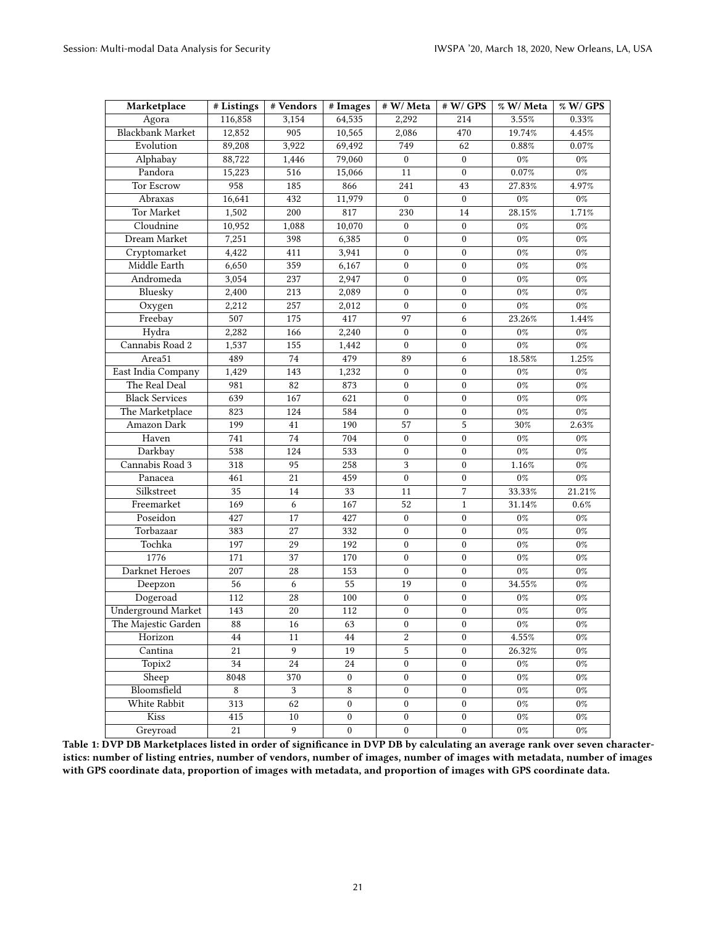| Marketplace               | # Listings               | # Vendors       | # Images         | # W/ Meta        | # W/GPS          | % W/ Meta | % W/ GPS |
|---------------------------|--------------------------|-----------------|------------------|------------------|------------------|-----------|----------|
| Agora                     | 116,858                  | 3,154           | 64,535           | 2,292            | 214              | 3.55%     | 0.33%    |
| <b>Blackbank Market</b>   | 12,852                   | 905             | 10,565           | 2,086            | 470              | 19.74%    | 4.45%    |
| Evolution                 | 89,208                   | 3,922           | 69,492           | 749              | 62               | $0.88\%$  | $0.07\%$ |
| Alphabay                  | 88,722                   | 1,446           | 79,060           | $\mathbf{0}$     | $\boldsymbol{0}$ | $0\%$     | $0\%$    |
| Pandora                   | 15,223                   | 516             | 15,066           | 11               | $\mathbf{0}$     | $0.07\%$  | $0\%$    |
| <b>Tor Escrow</b>         | 958                      | 185             | 866              | 241              | 43               | 27.83%    | 4.97%    |
| Abraxas                   | 16,641                   | 432             | 11,979           | $\mathbf{0}$     | $\boldsymbol{0}$ | $0\%$     | $0\%$    |
| Tor Market                | 1,502                    | 200             | 817              | 230              | 14               | $28.15\%$ | 1.71%    |
| Cloudnine                 | 10,952                   | 1,088           | 10,070           | $\boldsymbol{0}$ | $\mathbf{0}$     | $0\%$     | $0\%$    |
| Dream Market              | 7,251                    | 398             | 6,385            | $\mathbf{0}$     | $\mathbf{0}$     | $0\%$     | $0\%$    |
| Cryptomarket              | 4,422                    | 411             | 3,941            | $\boldsymbol{0}$ | $\mathbf{0}$     | $0\%$     | $0\%$    |
| Middle Earth              | 6,650                    | 359             | 6,167            | $\bf{0}$         | $\mathbf{0}$     | $0\%$     | $0\%$    |
| Andromeda                 | 3,054                    | 237             | 2,947            | $\boldsymbol{0}$ | $\boldsymbol{0}$ | $0\%$     | $0\%$    |
| Bluesky                   | 2,400                    | 213             | 2,089            | $\boldsymbol{0}$ | $\mathbf{0}$     | $0\%$     | $0\%$    |
| Oxygen                    | 2,212                    | 257             | 2,012            | $\mathbf{0}$     | $\mathbf{0}$     | $0\%$     | $0\%$    |
| Freebay                   | 507                      | 175             | 417              | 97               | 6                | 23.26%    | 1.44%    |
| Hydra                     | 2,282                    | 166             | 2,240            | $\bf{0}$         | $\boldsymbol{0}$ | $0\%$     | $0\%$    |
| Cannabis Road 2           | 1,537                    | 155             | 1,442            | $\boldsymbol{0}$ | $\boldsymbol{0}$ | $0\%$     | $0\%$    |
| Area51                    | 489                      | 74              | 479              | 89               | 6                | 18.58%    | 1.25%    |
| East India Company        | 1,429                    | 143             | 1,232            | $\boldsymbol{0}$ | $\mathbf{0}$     | $0\%$     | $0\%$    |
| The Real Deal             | 981                      | 82              | 873              | $\boldsymbol{0}$ | $\mathbf{0}$     | $0\%$     | $0\%$    |
| <b>Black Services</b>     | 639                      | 167             | 621              | $\boldsymbol{0}$ | $\mathbf{0}$     | $0\%$     | $0\%$    |
| The Marketplace           | 823                      | 124             | 584              | $\boldsymbol{0}$ | $\mathbf{0}$     | $0\%$     | $0\%$    |
| Amazon Dark               | 199                      | 41              | 190              | 57               | 5                | 30%       | 2.63%    |
| Haven                     | 741                      | 74              | 704              | $\boldsymbol{0}$ | $\mathbf{0}$     | $0\%$     | $0\%$    |
| Darkbay                   | 538                      | 124             | 533              | $\boldsymbol{0}$ | $\mathbf{0}$     | $0\%$     | $0\%$    |
| Cannabis Road 3           | 318                      | 95              | 258              | 3                | $\boldsymbol{0}$ | 1.16%     | $0\%$    |
| Panacea                   | 461                      | 21              | 459              | $\boldsymbol{0}$ | $\mathbf{0}$     | $0\%$     | $0\%$    |
| Silkstreet                | 35                       | 14              | 33               | 11               | $\overline{7}$   | 33.33%    | 21.21%   |
| Freemarket                | 169                      | 6               | 167              | 52               | $\mathbf{1}$     | 31.14%    | $0.6\%$  |
| Poseidon                  | 427                      | 17              | 427              | $\mathbf{0}$     | $\mathbf{0}$     | $0\%$     | $0\%$    |
| Torbazaar                 | 383                      | $27\,$          | 332              | $\bf{0}$         | $\boldsymbol{0}$ | $0\%$     | $0\%$    |
| Tochka                    | 197                      | 29              | 192              | $\mathbf{0}$     | $\boldsymbol{0}$ | $0\%$     | $0\%$    |
| 1776                      | 171                      | 37              | 170              | $\boldsymbol{0}$ | $\mathbf{0}$     | $0\%$     | $0\%$    |
| Darknet Heroes            | 207                      | $28\,$          | 153              | $\boldsymbol{0}$ | $\mathbf{0}$     | $0\%$     | $0\%$    |
| Deepzon                   | $\overline{56}$          | 6               | 55               | 19               | $\boldsymbol{0}$ | $34.55\%$ | $0\%$    |
| Dogeroad                  | 112                      | $28\,$          | 100              | $\boldsymbol{0}$ | $\boldsymbol{0}$ | $0\%$     | $0\%$    |
| <b>Underground Market</b> | 143                      | 20              | 112              | $\boldsymbol{0}$ | $\mathbf{0}$     | $0\%$     | $0\%$    |
| The Majestic Garden       | $\overline{\textbf{88}}$ | $\overline{16}$ | $\overline{63}$  | $\overline{0}$   | $\overline{0}$   | $0\%$     | $0\%$    |
| Horizon                   | 44                       | 11              | 44               | 2                | $\mathbf{0}$     | $4.55\%$  | $0\%$    |
| Cantina                   | 21                       | 9               | 19               | 5                | $\boldsymbol{0}$ | 26.32%    | $0\%$    |
| Topix2                    | 34                       | $24\,$          | $24\,$           | $\boldsymbol{0}$ | $\boldsymbol{0}$ | $0\%$     | $0\%$    |
| Sheep                     | 8048                     | 370             | $\boldsymbol{0}$ | $\boldsymbol{0}$ | $\boldsymbol{0}$ | $0\%$     | $0\%$    |
| Bloomsfield               | $\,8\,$                  | 3               | 8                | $\boldsymbol{0}$ | $\boldsymbol{0}$ | $0\%$     | $0\%$    |
| White Rabbit              | 313                      | 62              | 0                | $\boldsymbol{0}$ | $\boldsymbol{0}$ | $0\%$     | $0\%$    |
| Kiss                      | 415                      | $10\,$          | $\boldsymbol{0}$ | $\boldsymbol{0}$ | $\boldsymbol{0}$ | $0\%$     | $0\%$    |
| Greyroad                  | 21                       | 9               | $\boldsymbol{0}$ | $\boldsymbol{0}$ | $\boldsymbol{0}$ | $0\%$     | $0\%$    |

Table 1: DVP DB Marketplaces listed in order of significance in DVP DB by calculating an average rank over seven characteristics: number of listing entries, number of vendors, number of images, number of images with metadata, number of images with GPS coordinate data, proportion of images with metadata, and proportion of images with GPS coordinate data.